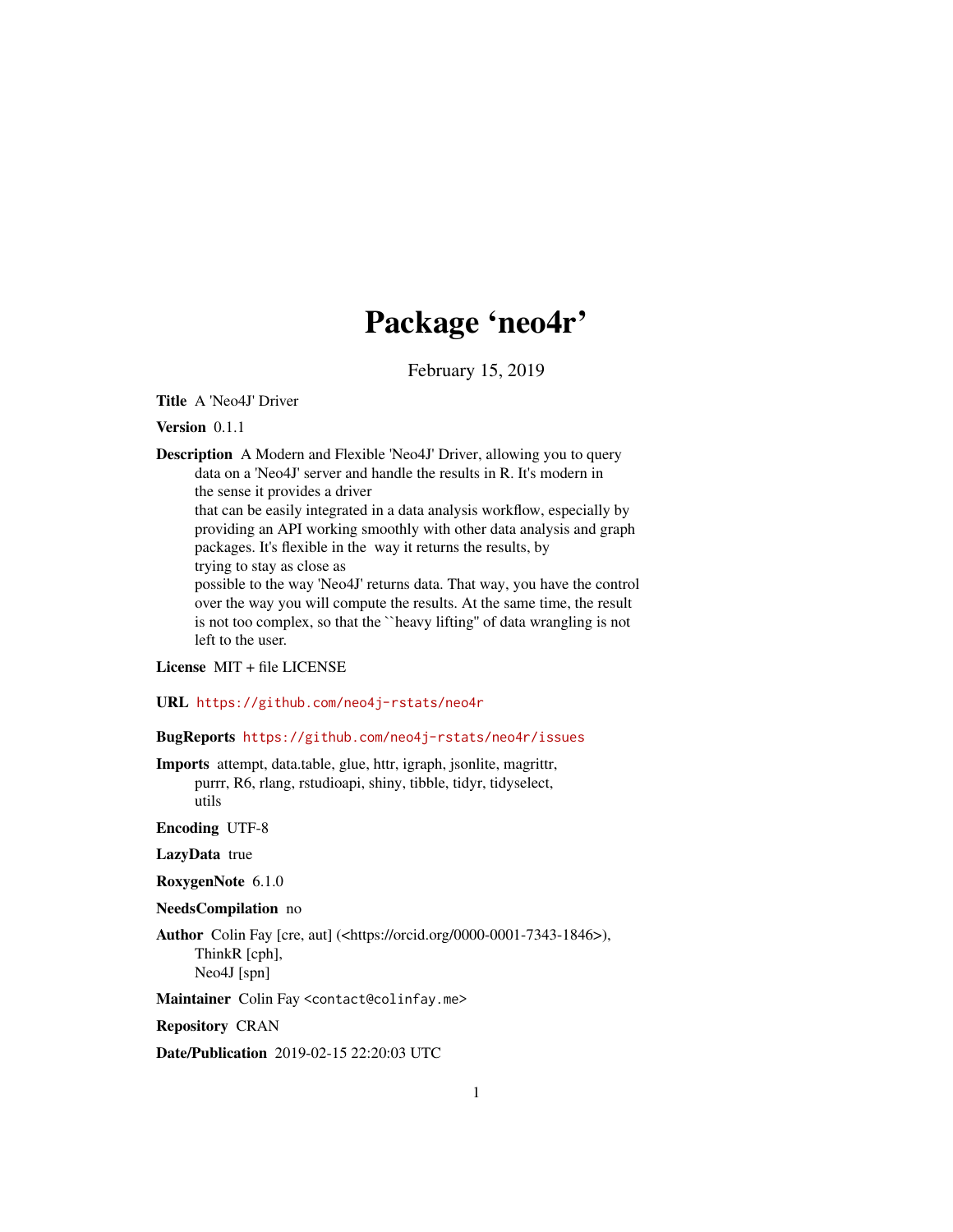# Package 'neo4r'

February 15, 2019

Title A 'Neo4J' Driver

Version 0.1.1

Description A Modern and Flexible 'Neo4J' Driver, allowing you to query data on a 'Neo4J' server and handle the results in R. It's modern in the sense it provides a driver

that can be easily integrated in a data analysis workflow, especially by providing an API working smoothly with other data analysis and graph packages. It's flexible in the way it returns the results, by trying to stay as close as

possible to the way 'Neo4J' returns data. That way, you have the control over the way you will compute the results. At the same time, the result is not too complex, so that the ``heavy lifting'' of data wrangling is not left to the user.

License MIT + file LICENSE

URL <https://github.com/neo4j-rstats/neo4r>

BugReports <https://github.com/neo4j-rstats/neo4r/issues>

Imports attempt, data.table, glue, httr, igraph, jsonlite, magrittr, purrr, R6, rlang, rstudioapi, shiny, tibble, tidyr, tidyselect, utils

Encoding UTF-8

LazyData true

RoxygenNote 6.1.0

NeedsCompilation no

Author Colin Fay [cre, aut] (<https://orcid.org/0000-0001-7343-1846>), ThinkR [cph], Neo4J [spn]

Maintainer Colin Fay <contact@colinfay.me>

Repository CRAN

Date/Publication 2019-02-15 22:20:03 UTC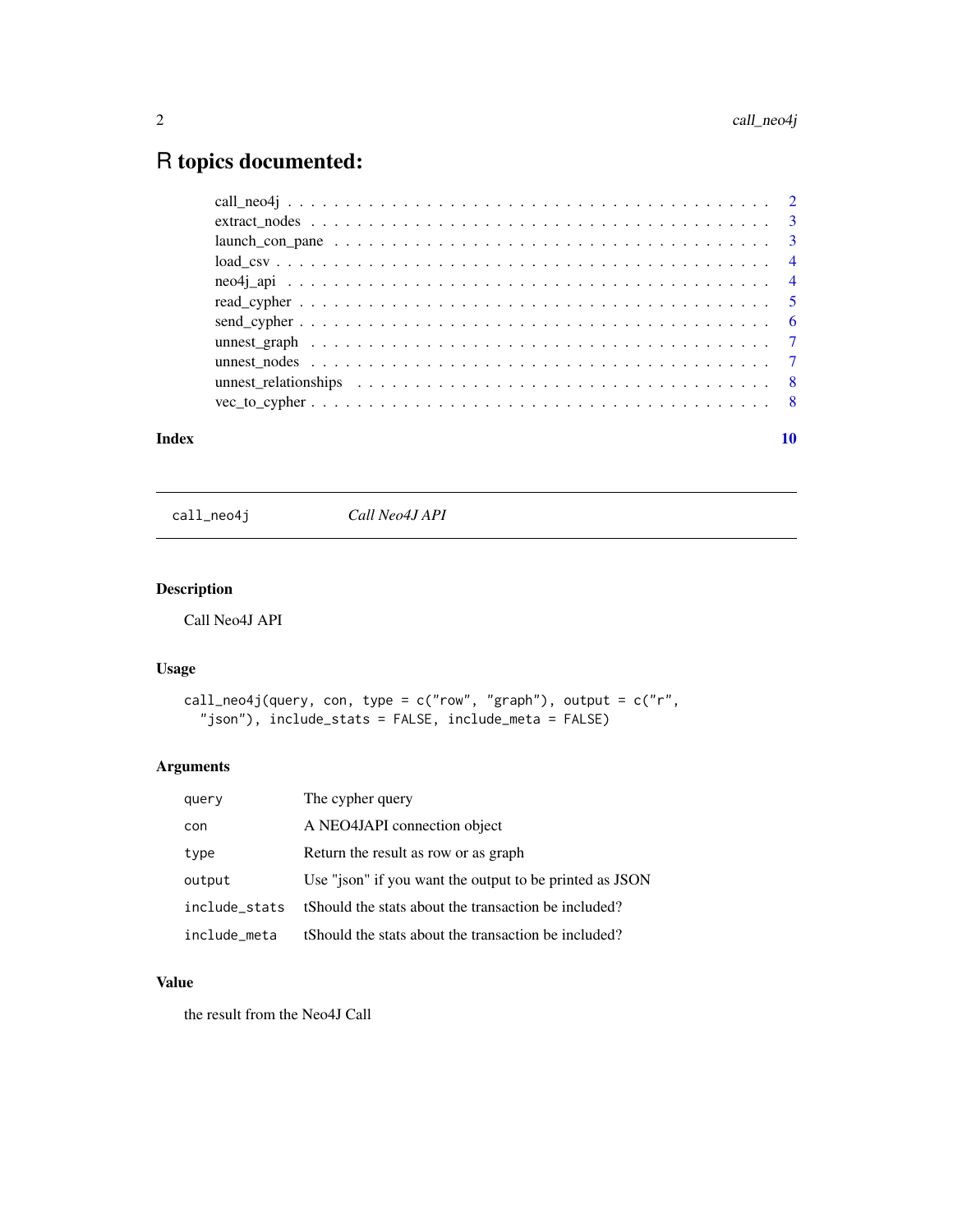## <span id="page-1-0"></span>R topics documented:

| $vec_to_cypher \dots \dots \dots \dots \dots \dots \dots \dots \dots \dots \dots \dots \dots \dots \dots \dots \dots$ |  |  |  |  |  |  |  |  |  |  |  |  |  |  |  |  |    |
|-----------------------------------------------------------------------------------------------------------------------|--|--|--|--|--|--|--|--|--|--|--|--|--|--|--|--|----|
| Index                                                                                                                 |  |  |  |  |  |  |  |  |  |  |  |  |  |  |  |  | 10 |

call\_neo4j *Call Neo4J API*

#### Description

Call Neo4J API

#### Usage

```
call_neo4j(query, con, type = c("row", "graph"), output = c("r","json"), include_stats = FALSE, include_meta = FALSE)
```
#### Arguments

| query         | The cypher query                                        |
|---------------|---------------------------------------------------------|
| con           | A NEO4JAPI connection object                            |
| type          | Return the result as row or as graph                    |
| output        | Use "json" if you want the output to be printed as JSON |
| include stats | tShould the stats about the transaction be included?    |
| include meta  | tShould the stats about the transaction be included?    |

#### Value

the result from the Neo4J Call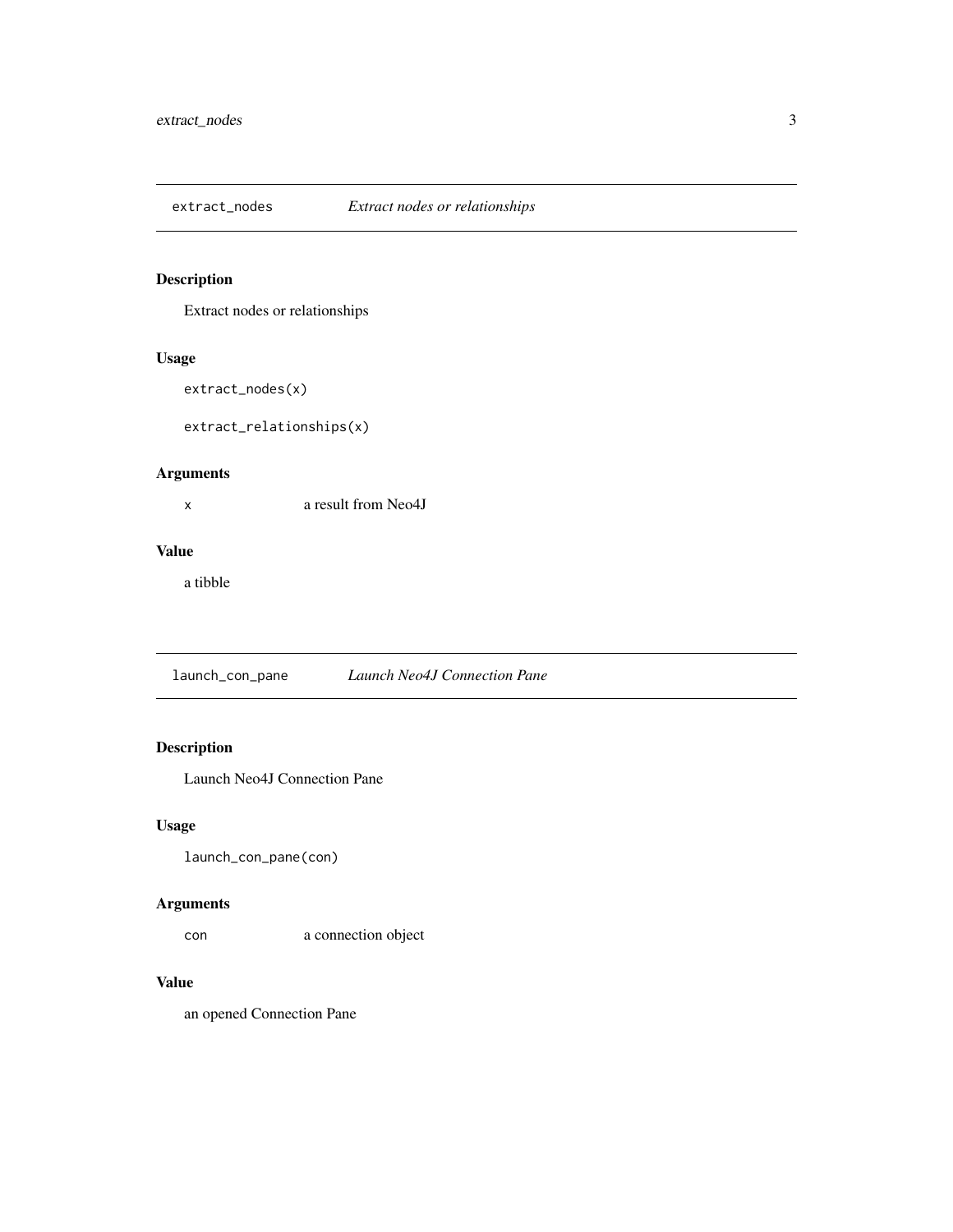<span id="page-2-0"></span>

#### Description

Extract nodes or relationships

#### Usage

```
extract_nodes(x)
```

```
extract_relationships(x)
```
#### Arguments

x a result from Neo4J

#### Value

a tibble

launch\_con\_pane *Launch Neo4J Connection Pane*

#### Description

Launch Neo4J Connection Pane

#### Usage

launch\_con\_pane(con)

#### Arguments

con a connection object

#### Value

an opened Connection Pane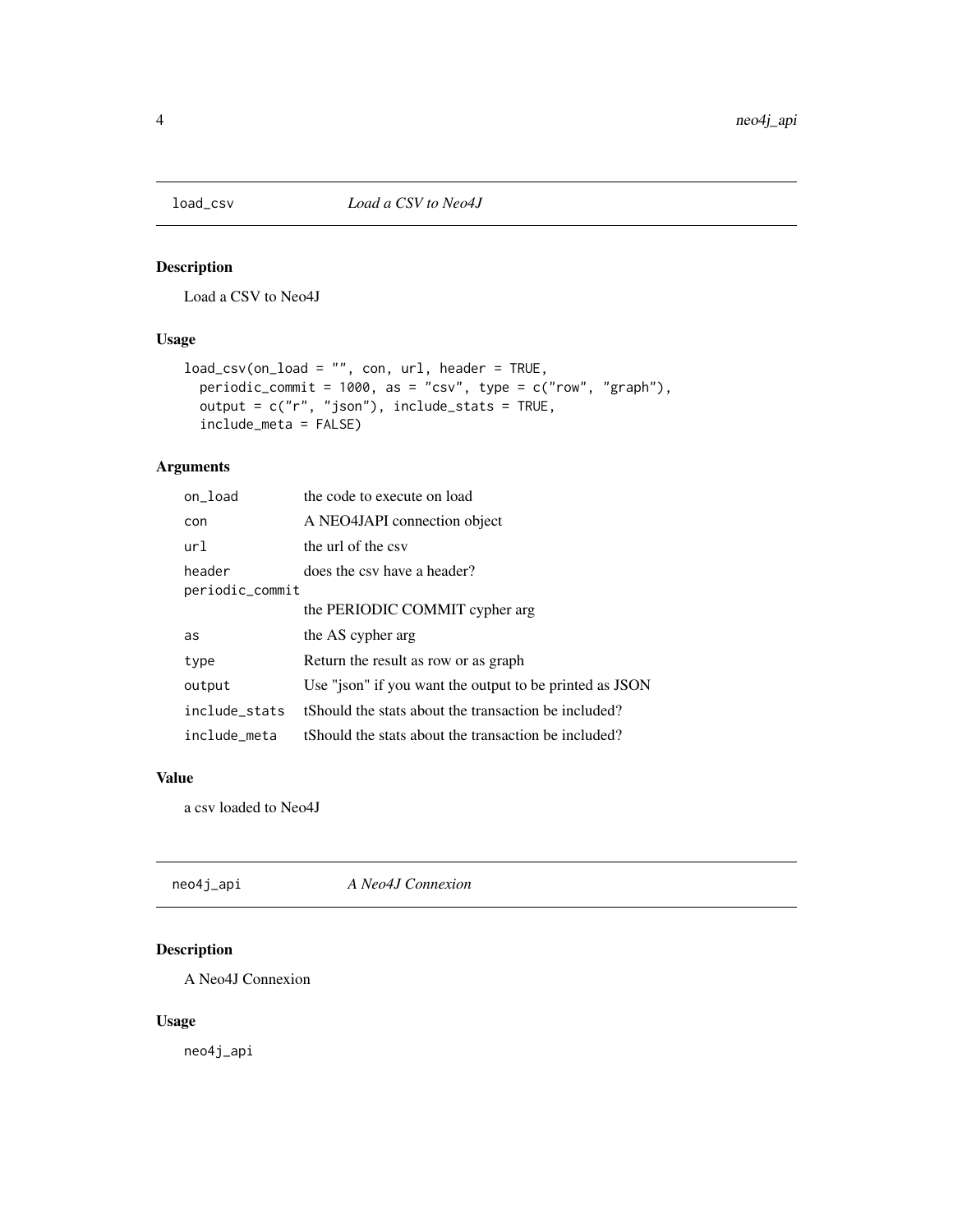<span id="page-3-0"></span>

#### Description

Load a CSV to Neo4J

#### Usage

```
load_csv(on_load = "", con, url, header = TRUE,
 periodic_commit = 1000, as = "csv", type = c("row", "graph"),
 output = c("r", "json"), include_stats = TRUE,
  include_meta = FALSE)
```
#### Arguments

| on_load         | the code to execute on load                             |
|-----------------|---------------------------------------------------------|
| con             | A NEO4JAPI connection object                            |
| url             | the url of the csy                                      |
| header          | does the csy have a header?                             |
| periodic_commit |                                                         |
|                 | the PERIODIC COMMIT cypher arg                          |
| as              | the AS cypher arg                                       |
| type            | Return the result as row or as graph                    |
| output          | Use "json" if you want the output to be printed as JSON |
| include stats   | tShould the stats about the transaction be included?    |
| include meta    | tShould the stats about the transaction be included?    |

#### Value

a csv loaded to Neo4J

| neo4j_api | A Neo4J Connexion |  |
|-----------|-------------------|--|
|-----------|-------------------|--|

### Description

A Neo4J Connexion

#### Usage

neo4j\_api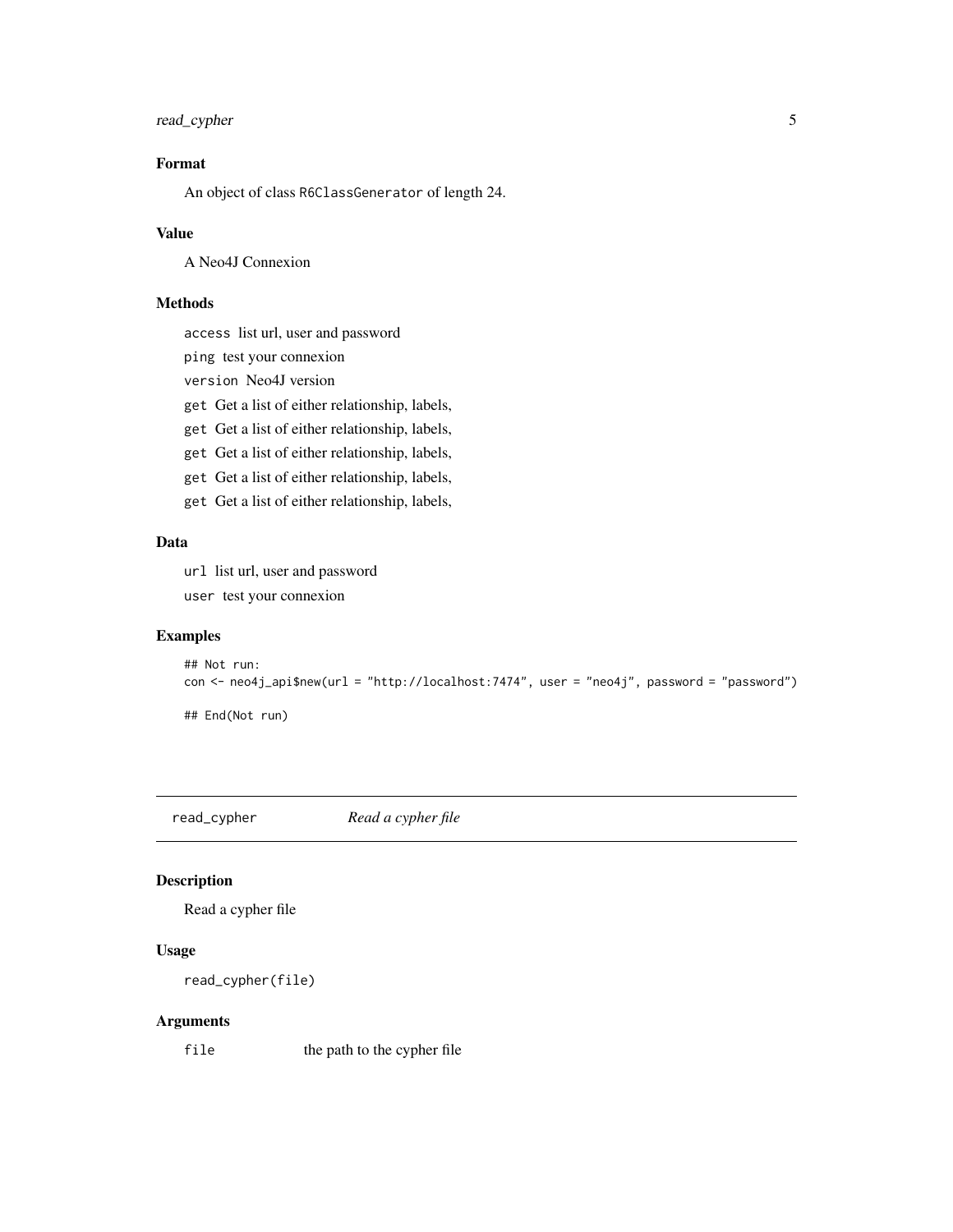#### <span id="page-4-0"></span>read\_cypher 5

#### Format

An object of class R6ClassGenerator of length 24.

#### Value

A Neo4J Connexion

#### Methods

access list url, user and password

ping test your connexion

version Neo4J version

get Get a list of either relationship, labels,

get Get a list of either relationship, labels,

get Get a list of either relationship, labels,

get Get a list of either relationship, labels,

get Get a list of either relationship, labels,

#### Data

url list url, user and password

user test your connexion

#### Examples

```
## Not run:
con <- neo4j_api$new(url = "http://localhost:7474", user = "neo4j", password = "password")
## End(Not run)
```
read\_cypher *Read a cypher file*

#### Description

Read a cypher file

#### Usage

```
read_cypher(file)
```
#### Arguments

file the path to the cypher file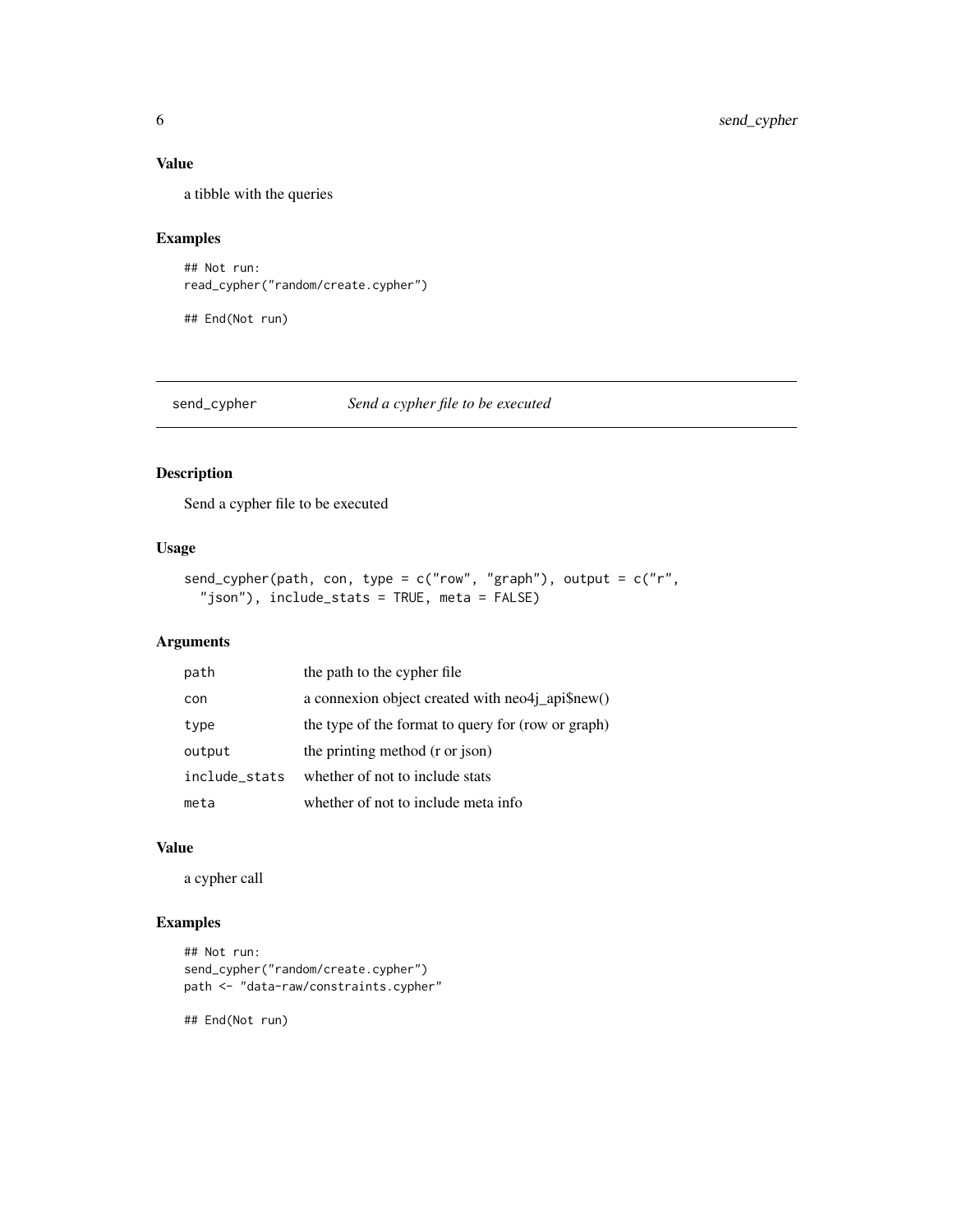#### <span id="page-5-0"></span>Value

a tibble with the queries

#### Examples

```
## Not run:
read_cypher("random/create.cypher")
```
## End(Not run)

send\_cypher *Send a cypher file to be executed*

#### Description

Send a cypher file to be executed

#### Usage

```
send_cypher(path, con, type = c("row", "graph"), output = c("r","json"), include_stats = TRUE, meta = FALSE)
```
### Arguments

| path          | the path to the cypher file                                     |
|---------------|-----------------------------------------------------------------|
| con           | a connexion object created with $neo4j$ <sub>-api</sub> \$new() |
| type          | the type of the format to query for (row or graph)              |
| output        | the printing method (r or json)                                 |
| include stats | whether of not to include stats                                 |
| meta          | whether of not to include meta info                             |

#### Value

a cypher call

#### Examples

```
## Not run:
send_cypher("random/create.cypher")
path <- "data-raw/constraints.cypher"
```
## End(Not run)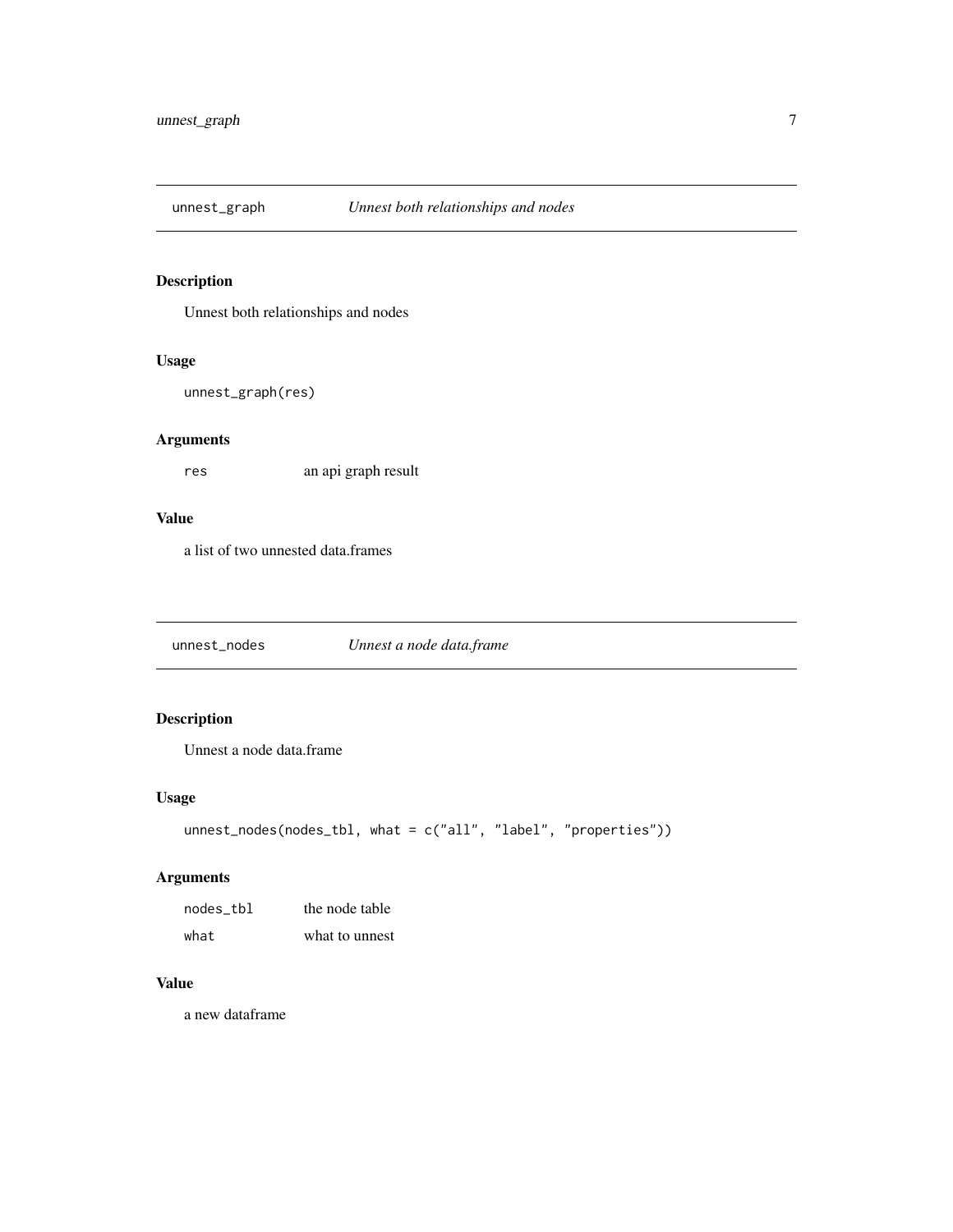<span id="page-6-0"></span>

#### Description

Unnest both relationships and nodes

#### Usage

```
unnest_graph(res)
```
#### Arguments

res an api graph result

#### Value

a list of two unnested data.frames

unnest\_nodes *Unnest a node data.frame*

### Description

Unnest a node data.frame

#### Usage

```
unnest_nodes(nodes_tbl, what = c("all", "label", "properties"))
```
#### Arguments

| nodes tbl | the node table |
|-----------|----------------|
| what      | what to unnest |

#### Value

a new dataframe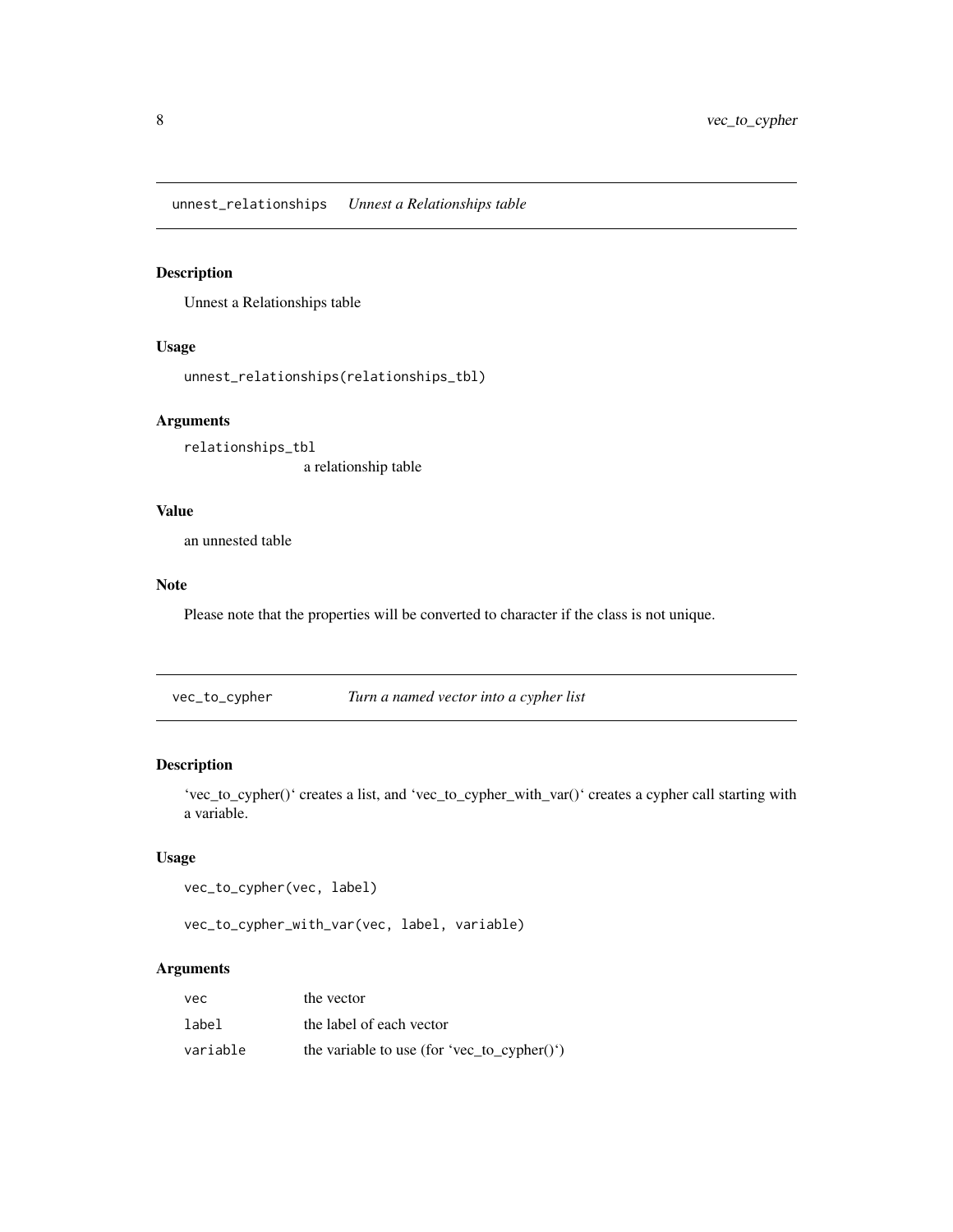<span id="page-7-0"></span>unnest\_relationships *Unnest a Relationships table*

#### Description

Unnest a Relationships table

#### Usage

```
unnest_relationships(relationships_tbl)
```
#### Arguments

relationships\_tbl a relationship table

#### Value

an unnested table

#### Note

Please note that the properties will be converted to character if the class is not unique.

vec\_to\_cypher *Turn a named vector into a cypher list*

#### Description

'vec\_to\_cypher()' creates a list, and 'vec\_to\_cypher\_with\_var()' creates a cypher call starting with a variable.

#### Usage

```
vec_to_cypher(vec, label)
```
vec\_to\_cypher\_with\_var(vec, label, variable)

#### Arguments

| vec      | the vector                                  |
|----------|---------------------------------------------|
| label    | the label of each vector                    |
| variable | the variable to use (for 'vec_to_cypher()') |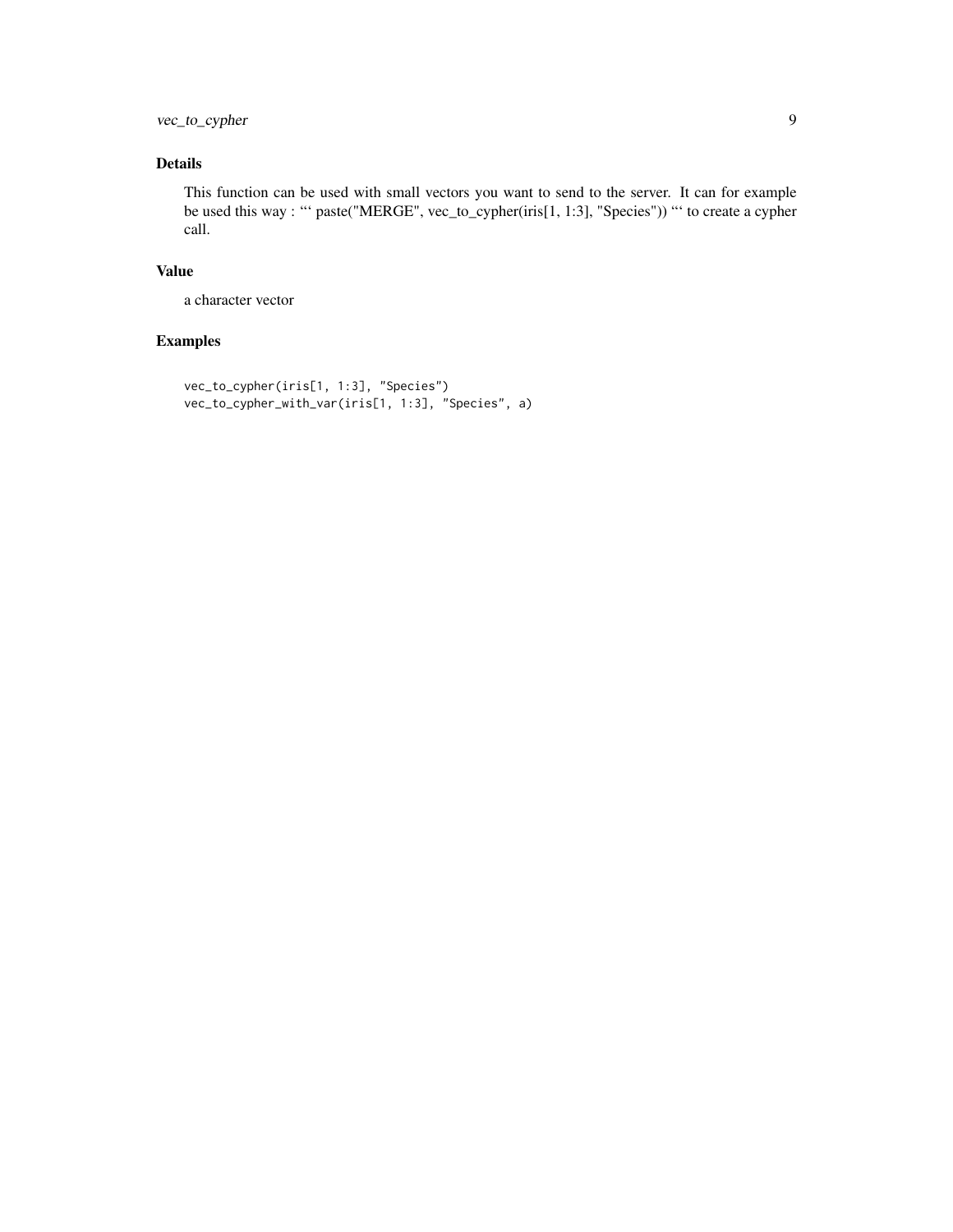vec\_to\_cypher 9

#### Details

This function can be used with small vectors you want to send to the server. It can for example be used this way : "' paste("MERGE", vec\_to\_cypher(iris[1, 1:3], "Species")) "' to create a cypher call.

#### Value

a character vector

#### Examples

```
vec_to_cypher(iris[1, 1:3], "Species")
vec_to_cypher_with_var(iris[1, 1:3], "Species", a)
```